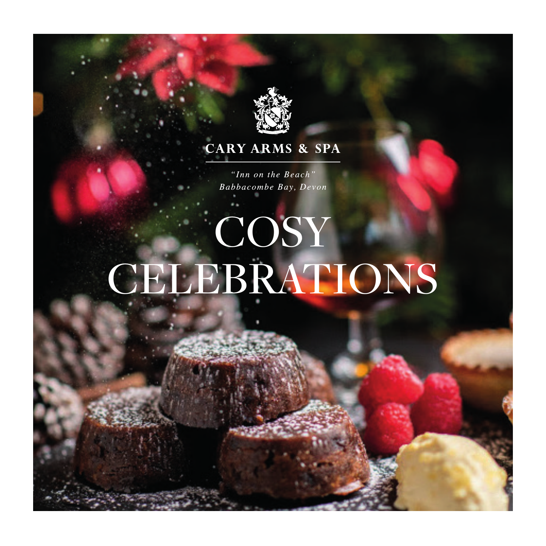

## **CARY ARMS & SPA**

"Inn on the Beach" Babbacombe Bay, Devon

# COSY **CELEBRATIONS**